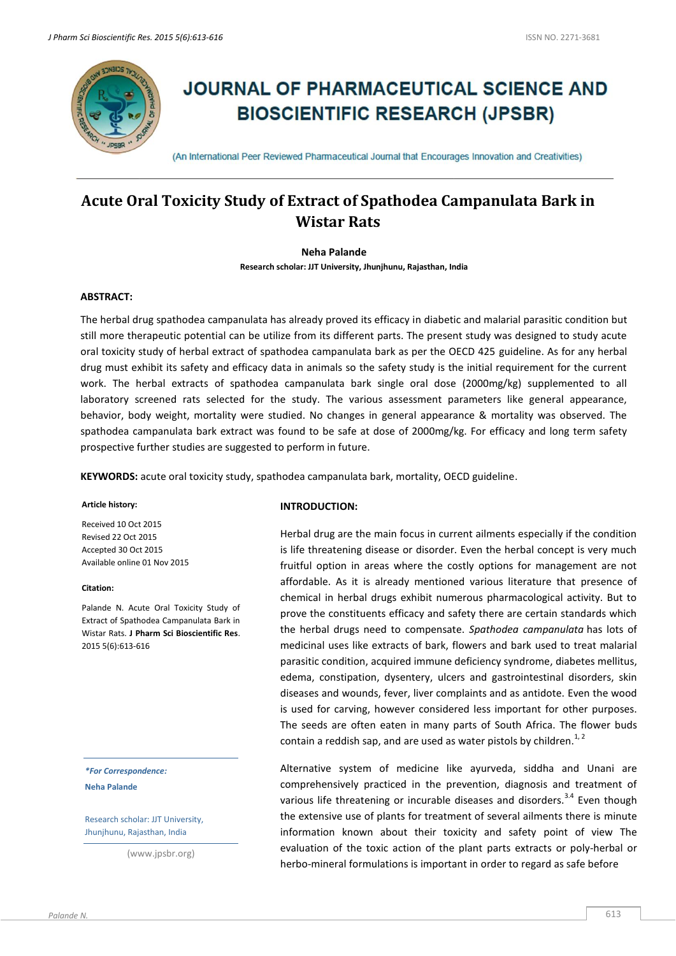

# **JOURNAL OF PHARMACEUTICAL SCIENCE AND BIOSCIENTIFIC RESEARCH (JPSBR)**

(An International Peer Reviewed Pharmaceutical Journal that Encourages Innovation and Creativities)

## **Acute Oral Toxicity Study of Extract of Spathodea Campanulata Bark in Wistar Rats**

#### **Neha Palande**

**Research scholar: JJT University, Jhunjhunu, Rajasthan, India**

#### **ABSTRACT:**

The herbal drug spathodea campanulata has already proved its efficacy in diabetic and malarial parasitic condition but still more therapeutic potential can be utilize from its different parts. The present study was designed to study acute oral toxicity study of herbal extract of spathodea campanulata bark as per the OECD 425 guideline. As for any herbal drug must exhibit its safety and efficacy data in animals so the safety study is the initial requirement for the current work. The herbal extracts of spathodea campanulata bark single oral dose (2000mg/kg) supplemented to all laboratory screened rats selected for the study. The various assessment parameters like general appearance, behavior, body weight, mortality were studied. No changes in general appearance & mortality was observed. The spathodea campanulata bark extract was found to be safe at dose of 2000mg/kg. For efficacy and long term safety prospective further studies are suggested to perform in future.

**KEYWORDS:** acute oral toxicity study, spathodea campanulata bark, mortality, OECD guideline.

#### **Article history:**

Received 10 Oct 2015 Revised 22 Oct 2015 Accepted 30 Oct 2015 Available online 01 Nov 2015

#### **Citation:**

Palande N. Acute Oral Toxicity Study of Extract of Spathodea Campanulata Bark in Wistar Rats. **J Pharm Sci Bioscientific Res**. 2015 5(6):613-616

*\*For Correspondence:* **Neha Palande**

Research scholar: JJT University, Jhunjhunu, Rajasthan, India

(www.jpsbr.org)

## **INTRODUCTION:**

Herbal drug are the main focus in current ailments especially if the condition is life threatening disease or disorder. Even the herbal concept is very much fruitful option in areas where the costly options for management are not affordable. As it is already mentioned various literature that presence of chemical in herbal drugs exhibit numerous pharmacological activity. But to prove the constituents efficacy and safety there are certain standards which the herbal drugs need to compensate. *Spathodea campanulata* has lots of medicinal uses like extracts of bark, flowers and bark used to treat malarial parasitic condition, acquired immune deficiency syndrome, diabetes mellitus, edema, constipation, dysentery, ulcers and gastrointestinal disorders, skin diseases and wounds, fever, liver complaints and as antidote. Even the wood is used for carving, however considered less important for other purposes. The seeds are often eaten in many parts of South Africa. The flower buds contain a reddish sap, and are used as water pistols by children.<sup>1, 2</sup>

Alternative system of medicine like ayurveda, siddha and Unani are comprehensively practiced in the prevention, diagnosis and treatment of various life threatening or incurable diseases and disorders.<sup>3.4</sup> Even though the extensive use of plants for treatment of several ailments there is minute information known about their toxicity and safety point of view The evaluation of the toxic action of the plant parts extracts or poly-herbal or herbo-mineral formulations is important in order to regard as safe before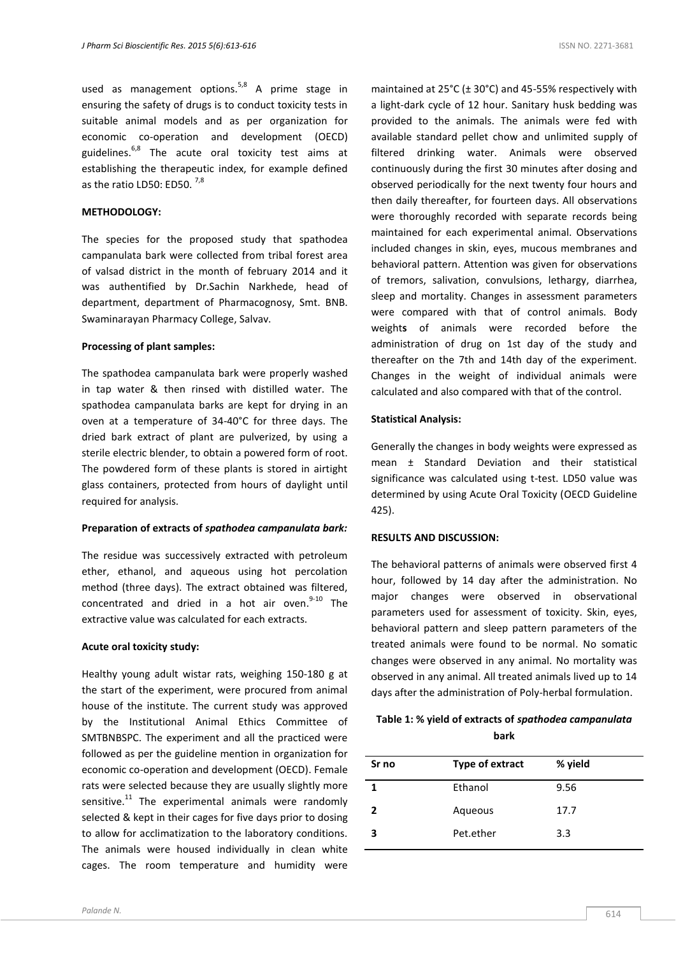used as management options.<sup>5,8</sup> A prime stage in ensuring the safety of drugs is to conduct toxicity tests in suitable animal models and as per organization for economic co-operation and development (OECD) guidelines. $6,8$  The acute oral toxicity test aims at establishing the therapeutic index, for example defined as the ratio LD50: ED50.  $^{7,8}$ 

#### **METHODOLOGY:**

The species for the proposed study that spathodea campanulata bark were collected from tribal forest area of valsad district in the month of february 2014 and it was authentified by Dr.Sachin Narkhede, head of department, department of Pharmacognosy, Smt. BNB. Swaminarayan Pharmacy College, Salvav.

#### **Processing of plant samples:**

The spathodea campanulata bark were properly washed in tap water & then rinsed with distilled water. The spathodea campanulata barks are kept for drying in an oven at a temperature of 34-40°C for three days. The dried bark extract of plant are pulverized, by using a sterile electric blender, to obtain a powered form of root. The powdered form of these plants is stored in airtight glass containers, protected from hours of daylight until required for analysis.

#### **Preparation of extracts of** *spathodea campanulata bark:*

The residue was successively extracted with petroleum ether, ethanol, and aqueous using hot percolation method (three days). The extract obtained was filtered, concentrated and dried in a hot air oven.<sup>9-10</sup> The extractive value was calculated for each extracts.

#### **Acute oral toxicity study:**

Healthy young adult wistar rats, weighing 150-180 g at the start of the experiment, were procured from animal house of the institute. The current study was approved by the Institutional Animal Ethics Committee of SMTBNBSPC. The experiment and all the practiced were followed as per the guideline mention in organization for economic co-operation and development (OECD). Female rats were selected because they are usually slightly more sensitive.<sup>11</sup> The experimental animals were randomly selected & kept in their cages for five days prior to dosing to allow for acclimatization to the laboratory conditions. The animals were housed individually in clean white cages. The room temperature and humidity were

maintained at  $25^{\circ}$ C ( $\pm$  30°C) and 45-55% respectively with a light-dark cycle of 12 hour. Sanitary husk bedding was provided to the animals. The animals were fed with available standard pellet chow and unlimited supply of filtered drinking water. Animals were observed continuously during the first 30 minutes after dosing and observed periodically for the next twenty four hours and then daily thereafter, for fourteen days. All observations were thoroughly recorded with separate records being maintained for each experimental animal. Observations included changes in skin, eyes, mucous membranes and behavioral pattern. Attention was given for observations of tremors, salivation, convulsions, lethargy, diarrhea, sleep and mortality. Changes in assessment parameters were compared with that of control animals. Body weight**s** of animals were recorded before the administration of drug on 1st day of the study and thereafter on the 7th and 14th day of the experiment. Changes in the weight of individual animals were calculated and also compared with that of the control.

#### **Statistical Analysis:**

Generally the changes in body weights were expressed as mean ± Standard Deviation and their statistical significance was calculated using t-test. LD50 value was determined by using Acute Oral Toxicity (OECD Guideline 425).

#### **RESULTS AND DISCUSSION:**

The behavioral patterns of animals were observed first 4 hour, followed by 14 day after the administration. No major changes were observed in observational parameters used for assessment of toxicity. Skin, eyes, behavioral pattern and sleep pattern parameters of the treated animals were found to be normal. No somatic changes were observed in any animal. No mortality was observed in any animal. All treated animals lived up to 14 days after the administration of Poly-herbal formulation.

## **Table 1: % yield of extracts of** *spathodea campanulata* **bark**

| Sr no        | Type of extract | % yield |
|--------------|-----------------|---------|
|              | Ethanol         | 9.56    |
| $\mathbf{c}$ | Aqueous         | 17.7    |
| 3            | Pet.ether       | 3.3     |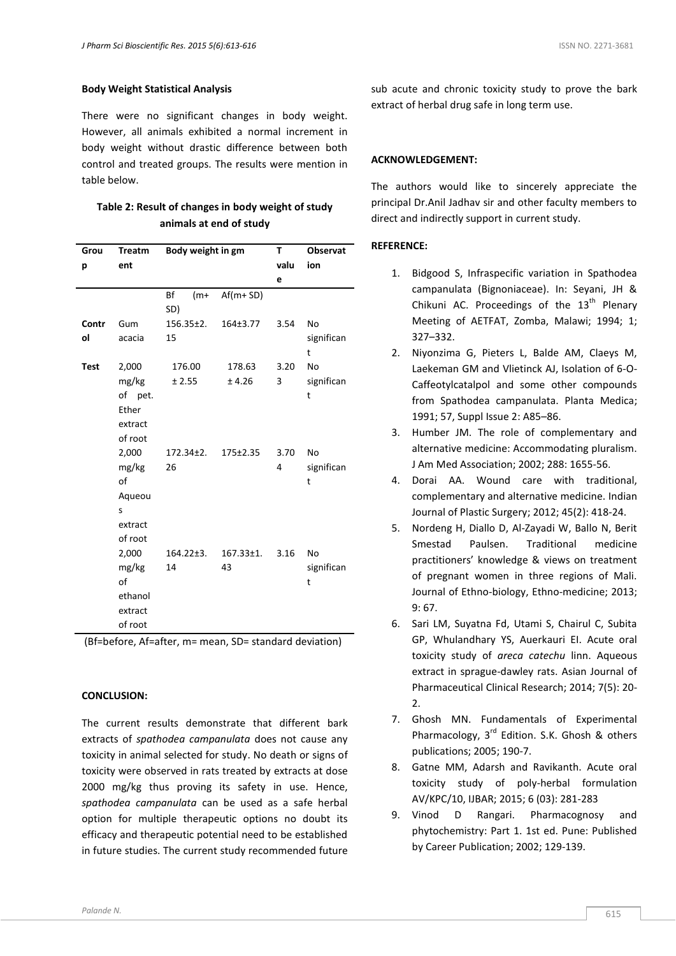#### **Body Weight Statistical Analysis**

There were no significant changes in body weight. However, all animals exhibited a normal increment in body weight without drastic difference between both control and treated groups. The results were mention in table below.

## **Table 2: Result of changes in body weight of study animals at end of study**

| Grou        | <b>Treatm</b> | Body weight in gm  |                 | т    | <b>Observat</b> |
|-------------|---------------|--------------------|-----------------|------|-----------------|
| р           | ent           |                    |                 | valu | ion             |
|             |               |                    |                 | e    |                 |
|             |               | Bf<br>$(m+$<br>SD) | $Af(m+SD)$      |      |                 |
| Contr       | Gum           | $156.35 \pm 2.$    | 164±3.77        | 3.54 | <b>No</b>       |
| ol          | acacia        | 15                 |                 |      | significan<br>t |
| <b>Test</b> | 2,000         | 176.00             | 178.63          | 3.20 | <b>No</b>       |
|             | mg/kg         | ± 2.55             | ± 4.26          | 3    | significan      |
|             | of pet.       |                    |                 |      | t               |
|             | Ether         |                    |                 |      |                 |
|             | extract       |                    |                 |      |                 |
|             | of root       |                    |                 |      |                 |
|             | 2,000         | 172.34±2.          | 175±2.35        | 3.70 | <b>No</b>       |
|             | mg/kg         | 26                 |                 | 4    | significan      |
|             | of            |                    |                 |      | t               |
|             | Aqueou        |                    |                 |      |                 |
|             | S             |                    |                 |      |                 |
|             | extract       |                    |                 |      |                 |
|             | of root       |                    |                 |      |                 |
|             | 2,000         | $164.22 \pm 3.$    | $167.33 \pm 1.$ | 3.16 | <b>No</b>       |
|             | mg/kg         | 14                 | 43              |      | significan      |
|             | of            |                    |                 |      | t               |
|             | ethanol       |                    |                 |      |                 |
|             | extract       |                    |                 |      |                 |
|             | of root       |                    |                 |      |                 |

(Bf=before, Af=after, m= mean, SD= standard deviation)

#### **CONCLUSION:**

The current results demonstrate that different bark extracts of *spathodea campanulata* does not cause any toxicity in animal selected for study. No death or signs of toxicity were observed in rats treated by extracts at dose 2000 mg/kg thus proving its safety in use. Hence, *spathodea campanulata* can be used as a safe herbal option for multiple therapeutic options no doubt its efficacy and therapeutic potential need to be established in future studies. The current study recommended future

sub acute and chronic toxicity study to prove the bark extract of herbal drug safe in long term use.

#### **ACKNOWLEDGEMENT:**

The authors would like to sincerely appreciate the principal Dr.Anil Jadhav sir and other faculty members to direct and indirectly support in current study.

### **REFERENCE:**

- 1. Bidgood S, Infraspecific variation in Spathodea campanulata (Bignoniaceae). In: Seyani, JH & Chikuni AC. Proceedings of the  $13<sup>th</sup>$  Plenary Meeting of AETFAT, Zomba, Malawi; 1994; 1; 327–332.
- 2. Niyonzima G, Pieters L, Balde AM, Claeys M, Laekeman GM and Vlietinck AJ, Isolation of 6-O-Caffeotylcatalpol and some other compounds from Spathodea campanulata. Planta Medica; 1991; 57, Suppl Issue 2: A85–86.
- 3. Humber JM. The role of complementary and alternative medicine: Accommodating pluralism. J Am Med Association; 2002; 288: 1655-56.
- 4. Dorai AA. Wound care with traditional, complementary and alternative medicine. Indian Journal of Plastic Surgery; 2012; 45(2): 418-24.
- 5. Nordeng H, Diallo D, Al-Zayadi W, Ballo N, Berit Smestad Paulsen. Traditional medicine practitioners' knowledge & views on treatment of pregnant women in three regions of Mali. Journal of Ethno-biology, Ethno-medicine; 2013; 9: 67.
- 6. Sari LM, Suyatna Fd, Utami S, Chairul C, Subita GP, Whulandhary YS, Auerkauri EI. Acute oral toxicity study of *areca catechu* linn. Aqueous extract in sprague-dawley rats. Asian Journal of Pharmaceutical Clinical Research; 2014; 7(5): 20- 2.
- 7. Ghosh MN. Fundamentals of Experimental Pharmacology, 3<sup>rd</sup> Edition. S.K. Ghosh & others publications; 2005; 190-7.
- 8. Gatne MM, Adarsh and Ravikanth. Acute oral toxicity study of poly-herbal formulation AV/KPC/10, IJBAR; 2015; 6 (03): 281-283
- 9. Vinod D Rangari. Pharmacognosy and phytochemistry: Part 1. 1st ed. Pune: Published by Career Publication; 2002; 129-139.